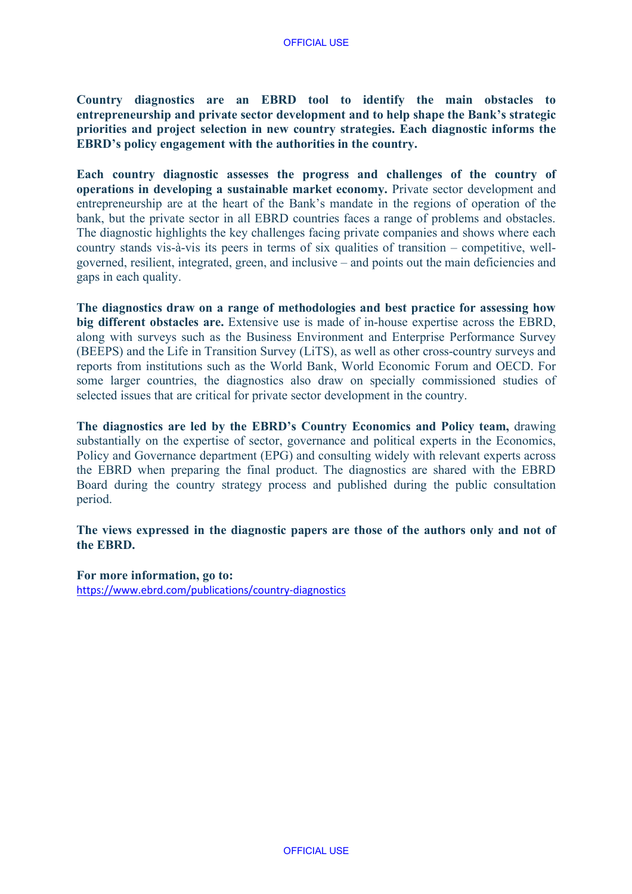**Country diagnostics are an EBRD tool to identify the main obstacles to entrepreneurship and private sector development and to help shape the Bank's strategic priorities and project selection in new country strategies. Each diagnostic informs the EBRD's policy engagement with the authorities in the country.**

**Each country diagnostic assesses the progress and challenges of the country of operations in developing a sustainable market economy.** Private sector development and entrepreneurship are at the heart of the Bank's mandate in the regions of operation of the bank, but the private sector in all EBRD countries faces a range of problems and obstacles. The diagnostic highlights the key challenges facing private companies and shows where each country stands vis-à-vis its peers in terms of six qualities of transition – competitive, wellgoverned, resilient, integrated, green, and inclusive – and points out the main deficiencies and gaps in each quality.

**The diagnostics draw on a range of methodologies and best practice for assessing how big different obstacles are.** Extensive use is made of in-house expertise across the EBRD, along with surveys such as the Business Environment and Enterprise Performance Survey (BEEPS) and the Life in Transition Survey (LiTS), as well as other cross-country surveys and reports from institutions such as the World Bank, World Economic Forum and OECD. For some larger countries, the diagnostics also draw on specially commissioned studies of selected issues that are critical for private sector development in the country.

**The diagnostics are led by the EBRD's Country Economics and Policy team,** drawing substantially on the expertise of sector, governance and political experts in the Economics, Policy and Governance department (EPG) and consulting widely with relevant experts across the EBRD when preparing the final product. The diagnostics are shared with the EBRD Board during the country strategy process and published during the public consultation period.

## **The views expressed in the diagnostic papers are those of the authors only and not of the EBRD.**

**For more information, go to:** <https://www.ebrd.com/publications/country-diagnostics>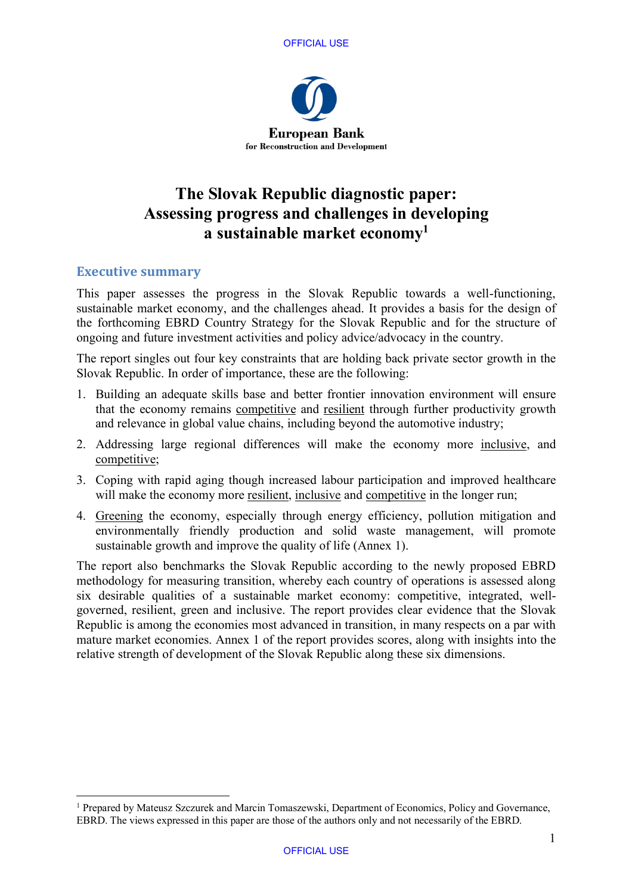



# **The Slovak Republic diagnostic paper: Assessing progress and challenges in developing a sustainable market economy<sup>1</sup>**

## **Executive summary**

This paper assesses the progress in the Slovak Republic towards a well-functioning, sustainable market economy, and the challenges ahead. It provides a basis for the design of the forthcoming EBRD Country Strategy for the Slovak Republic and for the structure of ongoing and future investment activities and policy advice/advocacy in the country.

The report singles out four key constraints that are holding back private sector growth in the Slovak Republic. In order of importance, these are the following:

- 1. Building an adequate skills base and better frontier innovation environment will ensure that the economy remains competitive and resilient through further productivity growth and relevance in global value chains, including beyond the automotive industry;
- 2. Addressing large regional differences will make the economy more inclusive, and competitive;
- 3. Coping with rapid aging though increased labour participation and improved healthcare will make the economy more resilient, inclusive and competitive in the longer run;
- 4. Greening the economy, especially through energy efficiency, pollution mitigation and environmentally friendly production and solid waste management, will promote sustainable growth and improve the quality of life (Annex 1).

The report also benchmarks the Slovak Republic according to the newly proposed EBRD methodology for measuring transition, whereby each country of operations is assessed along six desirable qualities of a sustainable market economy: competitive, integrated, wellgoverned, resilient, green and inclusive. The report provides clear evidence that the Slovak Republic is among the economies most advanced in transition, in many respects on a par with mature market economies. Annex 1 of the report provides scores, along with insights into the relative strength of development of the Slovak Republic along these six dimensions.

<sup>&</sup>lt;sup>1</sup> Prepared by Mateusz Szczurek and Marcin Tomaszewski, Department of Economics, Policy and Governance, EBRD. The views expressed in this paper are those of the authors only and not necessarily of the EBRD.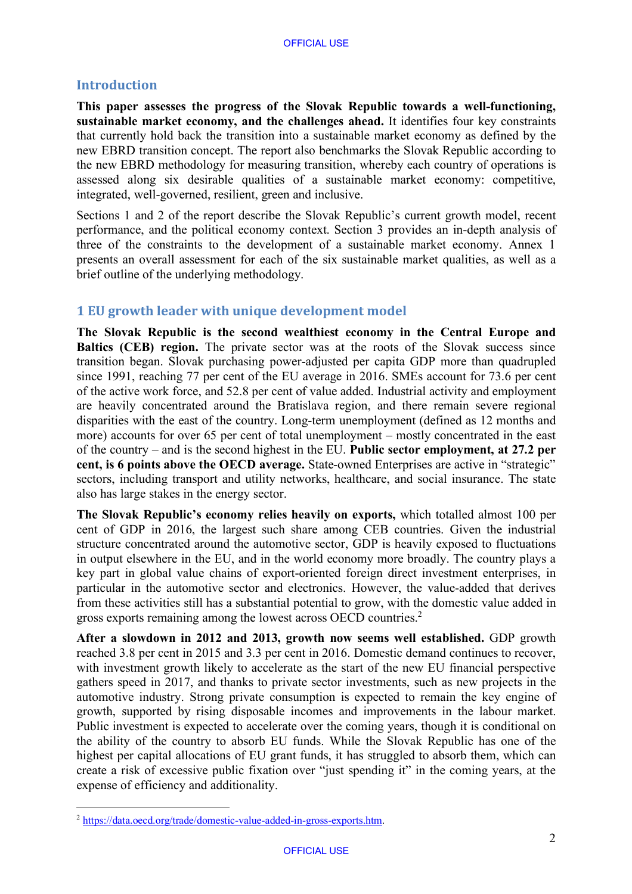## **Introduction**

**This paper assesses the progress of the Slovak Republic towards a well-functioning, sustainable market economy, and the challenges ahead.** It identifies four key constraints that currently hold back the transition into a sustainable market economy as defined by the new EBRD transition concept. The report also benchmarks the Slovak Republic according to the new EBRD methodology for measuring transition, whereby each country of operations is assessed along six desirable qualities of a sustainable market economy: competitive, integrated, well-governed, resilient, green and inclusive.

Sections 1 and 2 of the report describe the Slovak Republic's current growth model, recent performance, and the political economy context. Section 3 provides an in-depth analysis of three of the constraints to the development of a sustainable market economy. Annex 1 presents an overall assessment for each of the six sustainable market qualities, as well as a brief outline of the underlying methodology.

## **1 EU growth leader with unique development model**

**The Slovak Republic is the second wealthiest economy in the Central Europe and Baltics (CEB) region.** The private sector was at the roots of the Slovak success since transition began. Slovak purchasing power-adjusted per capita GDP more than quadrupled since 1991, reaching 77 per cent of the EU average in 2016. SMEs account for 73.6 per cent of the active work force, and 52.8 per cent of value added. Industrial activity and employment are heavily concentrated around the Bratislava region, and there remain severe regional disparities with the east of the country. Long-term unemployment (defined as 12 months and more) accounts for over 65 per cent of total unemployment – mostly concentrated in the east of the country – and is the second highest in the EU. **Public sector employment, at 27.2 per cent, is 6 points above the OECD average.** State-owned Enterprises are active in "strategic" sectors, including transport and utility networks, healthcare, and social insurance. The state also has large stakes in the energy sector.

**The Slovak Republic's economy relies heavily on exports,** which totalled almost 100 per cent of GDP in 2016, the largest such share among CEB countries. Given the industrial structure concentrated around the automotive sector, GDP is heavily exposed to fluctuations in output elsewhere in the EU, and in the world economy more broadly. The country plays a key part in global value chains of export-oriented foreign direct investment enterprises, in particular in the automotive sector and electronics. However, the value-added that derives from these activities still has a substantial potential to grow, with the domestic value added in gross exports remaining among the lowest across OECD countries. 2

**After a slowdown in 2012 and 2013, growth now seems well established.** GDP growth reached 3.8 per cent in 2015 and 3.3 per cent in 2016. Domestic demand continues to recover, with investment growth likely to accelerate as the start of the new EU financial perspective gathers speed in 2017, and thanks to private sector investments, such as new projects in the automotive industry. Strong private consumption is expected to remain the key engine of growth, supported by rising disposable incomes and improvements in the labour market. Public investment is expected to accelerate over the coming years, though it is conditional on the ability of the country to absorb EU funds. While the Slovak Republic has one of the highest per capital allocations of EU grant funds, it has struggled to absorb them, which can create a risk of excessive public fixation over "just spending it" in the coming years, at the expense of efficiency and additionality.

<sup>2</sup> [https://data.oecd.org/trade/domestic-value-added-in-gross-exports.htm.](https://data.oecd.org/trade/domestic-value-added-in-gross-exports.htm)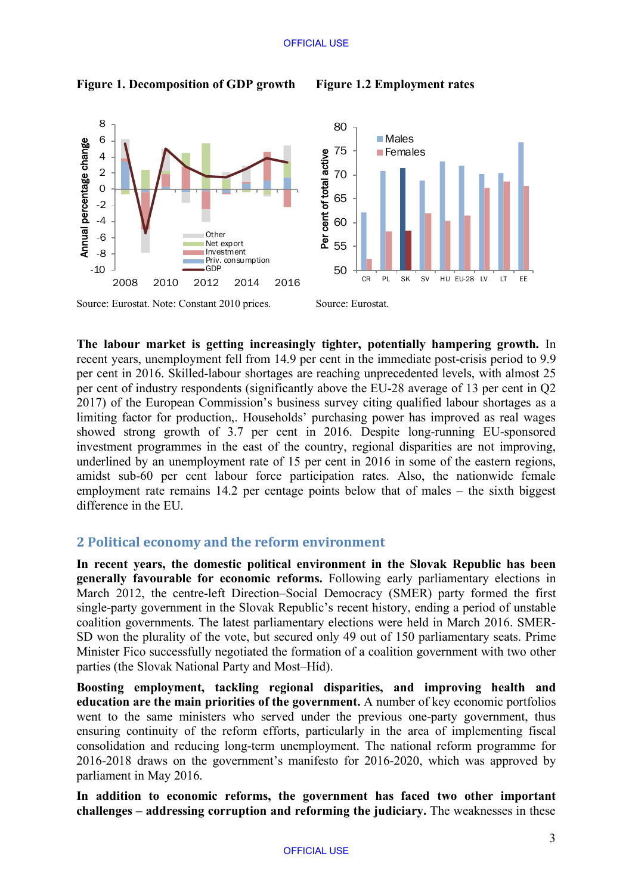



Source: Eurostat. Note: Constant 2010 prices. Source: Eurostat.

**The labour market is getting increasingly tighter, potentially hampering growth.** In recent years, unemployment fell from 14.9 per cent in the immediate post-crisis period to 9.9 per cent in 2016. Skilled-labour shortages are reaching unprecedented levels, with almost 25 per cent of industry respondents (significantly above the EU-28 average of 13 per cent in Q2 2017) of the European Commission's business survey citing qualified labour shortages as a limiting factor for production,. Households' purchasing power has improved as real wages showed strong growth of 3.7 per cent in 2016. Despite long-running EU-sponsored investment programmes in the east of the country, regional disparities are not improving, underlined by an unemployment rate of 15 per cent in 2016 in some of the eastern regions, amidst sub-60 per cent labour force participation rates. Also, the nationwide female employment rate remains 14.2 per centage points below that of males – the sixth biggest difference in the EU.

# **2 Political economy and the reform environment**

**In recent years, the domestic political environment in the Slovak Republic has been generally favourable for economic reforms.** Following early parliamentary elections in March 2012, the centre-left Direction–Social Democracy (SMER) party formed the first single-party government in the Slovak Republic's recent history, ending a period of unstable coalition governments. The latest parliamentary elections were held in March 2016. SMER-SD won the plurality of the vote, but secured only 49 out of 150 parliamentary seats. Prime Minister Fico successfully negotiated the formation of a coalition government with two other parties (the Slovak National Party and Most–Híd).

**Boosting employment, tackling regional disparities, and improving health and education are the main priorities of the government.** A number of key economic portfolios went to the same ministers who served under the previous one-party government, thus ensuring continuity of the reform efforts, particularly in the area of implementing fiscal consolidation and reducing long-term unemployment. The national reform programme for 2016-2018 draws on the government's manifesto for 2016-2020, which was approved by parliament in May 2016.

**In addition to economic reforms, the government has faced two other important challenges – addressing corruption and reforming the judiciary.** The weaknesses in these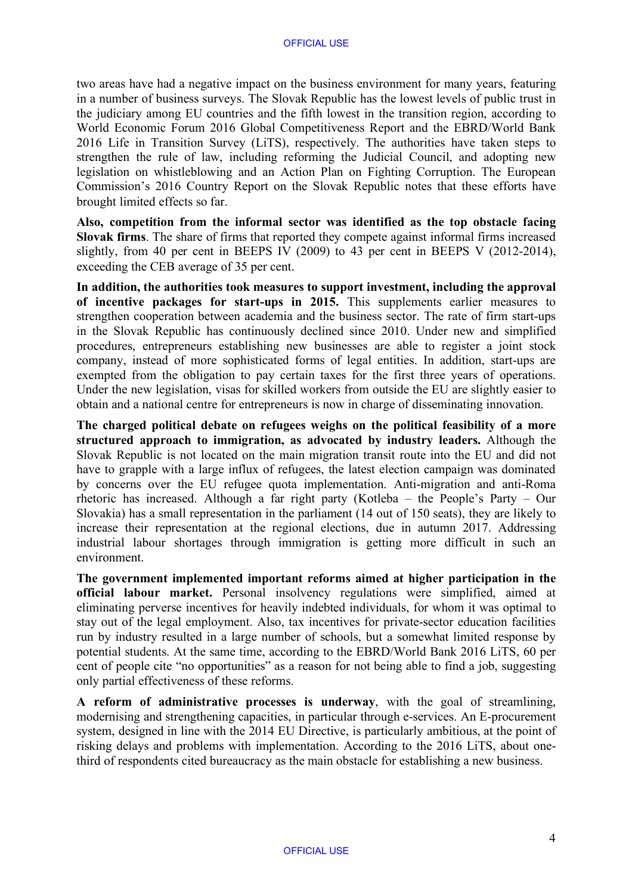two areas have had a negative impact on the business environment for many years, featuring in a number of business surveys. The Slovak Republic has the lowest levels of public trust in the judiciary among EU countries and the fifth lowest in the transition region, according to World Economic Forum 2016 Global Competitiveness Report and the EBRD/World Bank 2016 Life in Transition Survey (LiTS), respectively. The authorities have taken steps to strengthen the rule of law, including reforming the Judicial Council, and adopting new legislation on whistleblowing and an Action Plan on Fighting Corruption. The European Commission's 2016 Country Report on the Slovak Republic notes that these efforts have brought limited effects so far.

**Also, competition from the informal sector was identified as the top obstacle facing Slovak firms**. The share of firms that reported they compete against informal firms increased slightly, from 40 per cent in BEEPS IV (2009) to 43 per cent in BEEPS V (2012-2014), exceeding the CEB average of 35 per cent.

**In addition, the authorities took measures to support investment, including the approval of incentive packages for start-ups in 2015.** This supplements earlier measures to strengthen cooperation between academia and the business sector. The rate of firm start-ups in the Slovak Republic has continuously declined since 2010. Under new and simplified procedures, entrepreneurs establishing new businesses are able to register a joint stock company, instead of more sophisticated forms of legal entities. In addition, start-ups are exempted from the obligation to pay certain taxes for the first three years of operations. Under the new legislation, visas for skilled workers from outside the EU are slightly easier to obtain and a national centre for entrepreneurs is now in charge of disseminating innovation.

**The charged political debate on refugees weighs on the political feasibility of a more structured approach to immigration, as advocated by industry leaders.** Although the Slovak Republic is not located on the main migration transit route into the EU and did not have to grapple with a large influx of refugees, the latest election campaign was dominated by concerns over the EU refugee quota implementation. Anti-migration and anti-Roma rhetoric has increased. Although a far right party (Kotleba – the People's Party – Our Slovakia) has a small representation in the parliament (14 out of 150 seats), they are likely to increase their representation at the regional elections, due in autumn 2017. Addressing industrial labour shortages through immigration is getting more difficult in such an environment.

**The government implemented important reforms aimed at higher participation in the official labour market.** Personal insolvency regulations were simplified, aimed at eliminating perverse incentives for heavily indebted individuals, for whom it was optimal to stay out of the legal employment. Also, tax incentives for private-sector education facilities run by industry resulted in a large number of schools, but a somewhat limited response by potential students. At the same time, according to the EBRD/World Bank 2016 LiTS, 60 per cent of people cite "no opportunities" as a reason for not being able to find a job, suggesting only partial effectiveness of these reforms.

**A reform of administrative processes is underway**, with the goal of streamlining, modernising and strengthening capacities, in particular through e-services. An E-procurement system, designed in line with the 2014 EU Directive, is particularly ambitious, at the point of risking delays and problems with implementation. According to the 2016 LiTS, about onethird of respondents cited bureaucracy as the main obstacle for establishing a new business.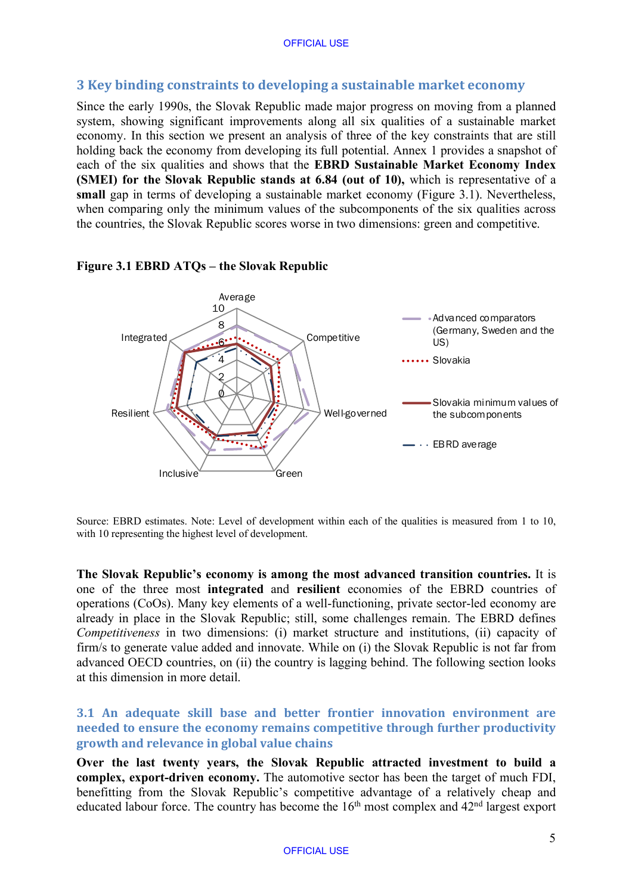## **3 Key binding constraints to developing a sustainable market economy**

Since the early 1990s, the Slovak Republic made major progress on moving from a planned system, showing significant improvements along all six qualities of a sustainable market economy. In this section we present an analysis of three of the key constraints that are still holding back the economy from developing its full potential. Annex 1 provides a snapshot of each of the six qualities and shows that the **EBRD Sustainable Market Economy Index (SMEI) for the Slovak Republic stands at 6.84 (out of 10),** which is representative of a **small** gap in terms of developing a sustainable market economy (Figure 3.1). Nevertheless, when comparing only the minimum values of the subcomponents of the six qualities across the countries, the Slovak Republic scores worse in two dimensions: green and competitive.

#### **Figure 3.1 EBRD ATQs – the Slovak Republic**



Source: EBRD estimates. Note: Level of development within each of the qualities is measured from 1 to 10, with 10 representing the highest level of development.

**The Slovak Republic's economy is among the most advanced transition countries.** It is one of the three most **integrated** and **resilient** economies of the EBRD countries of operations (CoOs). Many key elements of a well-functioning, private sector-led economy are already in place in the Slovak Republic; still, some challenges remain. The EBRD defines *Competitiveness* in two dimensions: (i) market structure and institutions, (ii) capacity of firm/s to generate value added and innovate. While on (i) the Slovak Republic is not far from advanced OECD countries, on (ii) the country is lagging behind. The following section looks at this dimension in more detail.

**3.1 An adequate skill base and better frontier innovation environment are needed to ensure the economy remains competitive through further productivity growth and relevance in global value chains** 

**Over the last twenty years, the Slovak Republic attracted investment to build a complex, export-driven economy.** The automotive sector has been the target of much FDI, benefitting from the Slovak Republic's competitive advantage of a relatively cheap and educated labour force. The country has become the  $16<sup>th</sup>$  most complex and  $42<sup>nd</sup>$  largest export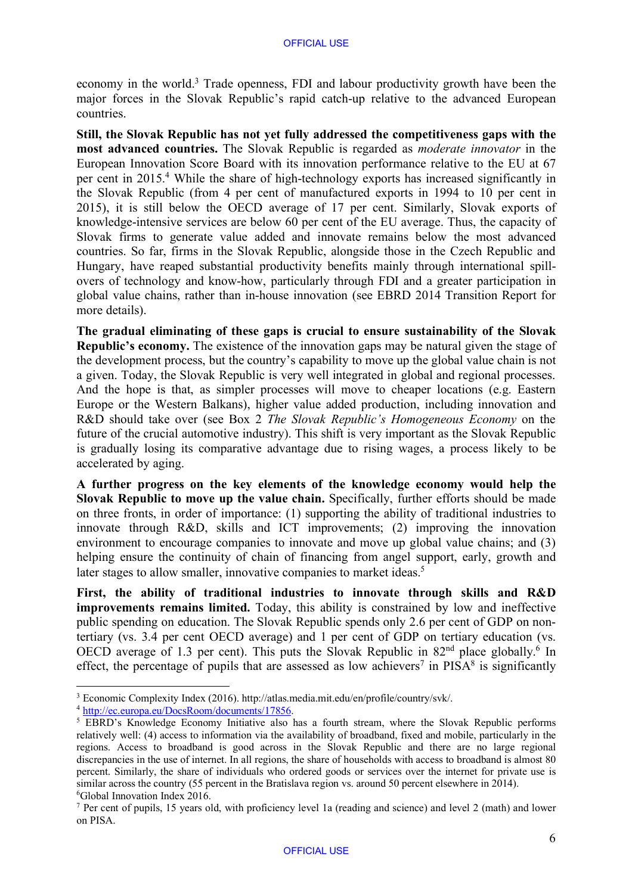economy in the world.<sup>3</sup> Trade openness, FDI and labour productivity growth have been the major forces in the Slovak Republic's rapid catch-up relative to the advanced European countries.

**Still, the Slovak Republic has not yet fully addressed the competitiveness gaps with the most advanced countries.** The Slovak Republic is regarded as *moderate innovator* in the European Innovation Score Board with its innovation performance relative to the EU at 67 per cent in 2015.4 While the share of high-technology exports has increased significantly in the Slovak Republic (from 4 per cent of manufactured exports in 1994 to 10 per cent in 2015), it is still below the OECD average of 17 per cent. Similarly, Slovak exports of knowledge-intensive services are below 60 per cent of the EU average. Thus, the capacity of Slovak firms to generate value added and innovate remains below the most advanced countries. So far, firms in the Slovak Republic, alongside those in the Czech Republic and Hungary, have reaped substantial productivity benefits mainly through international spillovers of technology and know-how, particularly through FDI and a greater participation in global value chains, rather than in-house innovation (see EBRD 2014 Transition Report for more details).

**The gradual eliminating of these gaps is crucial to ensure sustainability of the Slovak Republic's economy.** The existence of the innovation gaps may be natural given the stage of the development process, but the country's capability to move up the global value chain is not a given. Today, the Slovak Republic is very well integrated in global and regional processes. And the hope is that, as simpler processes will move to cheaper locations (e.g. Eastern Europe or the Western Balkans), higher value added production, including innovation and R&D should take over (see Box 2 *The Slovak Republic's Homogeneous Economy* on the future of the crucial automotive industry). This shift is very important as the Slovak Republic is gradually losing its comparative advantage due to rising wages, a process likely to be accelerated by aging.

**A further progress on the key elements of the knowledge economy would help the Slovak Republic to move up the value chain.** Specifically, further efforts should be made on three fronts, in order of importance: (1) supporting the ability of traditional industries to innovate through R&D, skills and ICT improvements; (2) improving the innovation environment to encourage companies to innovate and move up global value chains; and (3) helping ensure the continuity of chain of financing from angel support, early, growth and later stages to allow smaller, innovative companies to market ideas.<sup>5</sup>

**First, the ability of traditional industries to innovate through skills and R&D improvements remains limited.** Today, this ability is constrained by low and ineffective public spending on education. The Slovak Republic spends only 2.6 per cent of GDP on nontertiary (vs. 3.4 per cent OECD average) and 1 per cent of GDP on tertiary education (vs. OECD average of 1.3 per cent). This puts the Slovak Republic in  $82<sup>nd</sup>$  place globally.<sup>6</sup> In effect, the percentage of pupils that are assessed as low achievers<sup>7</sup> in PISA $\frac{8}{3}$  is significantly

<sup>3</sup> Economic Complexity Index (2016). [http://atlas.media.mit.edu/en/profile/country/svk/.](http://atlas.media.mit.edu/en/profile/country/svk/)

<sup>4</sup> [http://ec.europa.eu/DocsRoom/documents/17856.](http://ec.europa.eu/DocsRoom/documents/17856)

<sup>&</sup>lt;sup>5</sup> EBRD's Knowledge Economy Initiative also has a fourth stream, where the Slovak Republic performs relatively well: (4) access to information via the availability of broadband, fixed and mobile, particularly in the regions. Access to broadband is good across in the Slovak Republic and there are no large regional discrepancies in the use of internet. In all regions, the share of households with access to broadband is almost 80 percent. Similarly, the share of individuals who ordered goods or services over the internet for private use is similar across the country (55 percent in the Bratislava region vs. around 50 percent elsewhere in 2014). 6 Global Innovation Index 2016.

<sup>7</sup> Per cent of pupils, 15 years old, with proficiency level 1a (reading and science) and level 2 (math) and lower on PISA.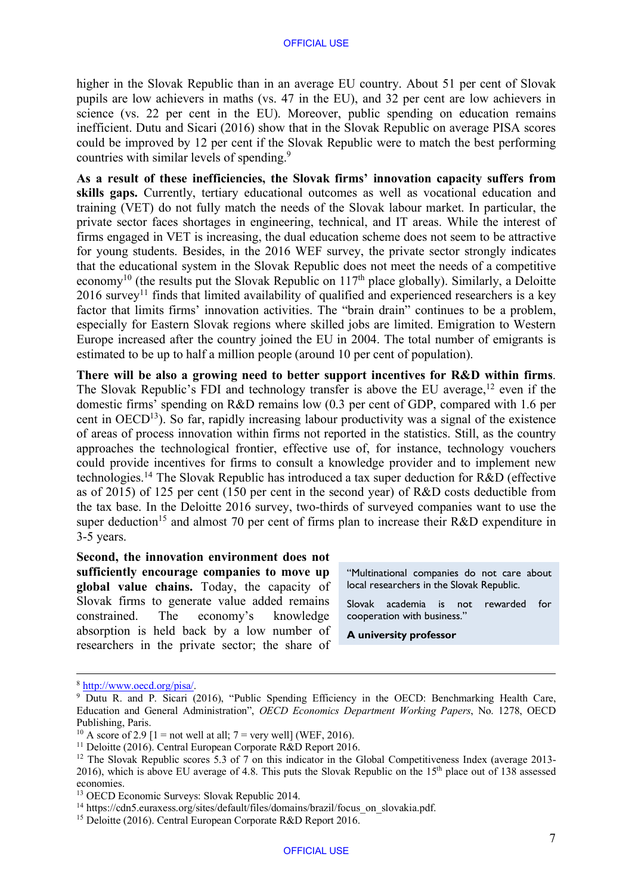higher in the Slovak Republic than in an average EU country. About 51 per cent of Slovak pupils are low achievers in maths (vs. 47 in the EU), and 32 per cent are low achievers in science (vs. 22 per cent in the EU). Moreover, public spending on education remains inefficient. Dutu and Sicari (2016) show that in the Slovak Republic on average PISA scores could be improved by 12 per cent if the Slovak Republic were to match the best performing countries with similar levels of spending.9

**As a result of these inefficiencies, the Slovak firms' innovation capacity suffers from skills gaps.** Currently, tertiary educational outcomes as well as vocational education and training (VET) do not fully match the needs of the Slovak labour market. In particular, the private sector faces shortages in engineering, technical, and IT areas. While the interest of firms engaged in VET is increasing, the dual education scheme does not seem to be attractive for young students. Besides, in the 2016 WEF survey, the private sector strongly indicates that the educational system in the Slovak Republic does not meet the needs of a competitive economy<sup>10</sup> (the results put the Slovak Republic on  $117<sup>th</sup>$  place globally). Similarly, a Deloitte  $2016$  survey<sup>11</sup> finds that limited availability of qualified and experienced researchers is a key factor that limits firms' innovation activities. The "brain drain" continues to be a problem, especially for Eastern Slovak regions where skilled jobs are limited. Emigration to Western Europe increased after the country joined the EU in 2004. The total number of emigrants is estimated to be up to half a million people (around 10 per cent of population).

**There will be also a growing need to better support incentives for R&D within firms**. The Slovak Republic's FDI and technology transfer is above the EU average,<sup>12</sup> even if the domestic firms' spending on R&D remains low (0.3 per cent of GDP, compared with 1.6 per cent in  $OECD<sup>13</sup>$ ). So far, rapidly increasing labour productivity was a signal of the existence of areas of process innovation within firms not reported in the statistics. Still, as the country approaches the technological frontier, effective use of, for instance, technology vouchers could provide incentives for firms to consult a knowledge provider and to implement new technologies.14 The Slovak Republic has introduced a tax super deduction for R&D (effective as of 2015) of 125 per cent (150 per cent in the second year) of R&D costs deductible from the tax base. In the Deloitte 2016 survey, two-thirds of surveyed companies want to use the super deduction<sup>15</sup> and almost 70 per cent of firms plan to increase their R&D expenditure in 3-5 years.

**Second, the innovation environment does not sufficiently encourage companies to move up global value chains.** Today, the capacity of Slovak firms to generate value added remains constrained. The economy's knowledge absorption is held back by a low number of researchers in the private sector; the share of

"Multinational companies do not care about local researchers in the Slovak Republic.

Slovak academia is not rewarded for cooperation with business."

**A university professor**

<sup>8</sup> [http://www.oecd.org/pisa/.](http://www.oecd.org/pisa/)

<sup>&</sup>lt;sup>9</sup> Dutu R. and P. Sicari (2016), "Public Spending Efficiency in the OECD: Benchmarking Health Care, Education and General Administration", *OECD Economics Department Working Papers*, No. 1278, OECD Publishing, Paris.

<sup>&</sup>lt;sup>10</sup> A score of 2.9 [1 = not well at all;  $7$  = very well] (WEF, 2016).

<sup>&</sup>lt;sup>11</sup> Deloitte (2016). Central European Corporate R&D Report 2016.

<sup>&</sup>lt;sup>12</sup> The Slovak Republic scores 5.3 of 7 on this indicator in the Global Competitiveness Index (average 2013-2016), which is above EU average of 4.8. This puts the Slovak Republic on the 15th place out of 138 assessed economies.

<sup>13</sup> OECD Economic Surveys: Slovak Republic 2014.

<sup>&</sup>lt;sup>14</sup> [https://cdn5.euraxess.org/sites/default/files/domains/brazil/focus\\_on\\_slovakia.pdf.](https://cdn5.euraxess.org/sites/default/files/domains/brazil/focus_on_slovakia.pdf)

<sup>&</sup>lt;sup>15</sup> Deloitte (2016). Central European Corporate R&D Report 2016.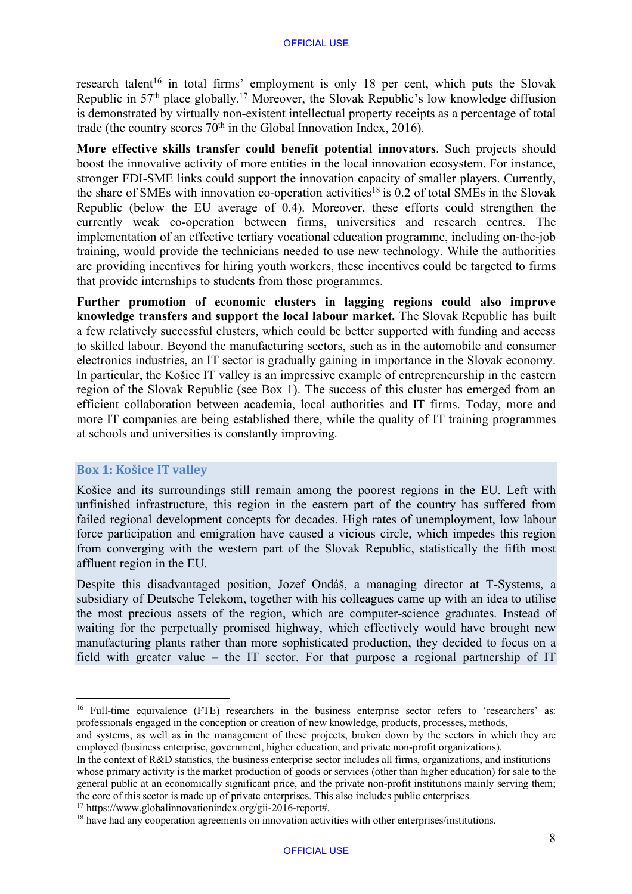research talent<sup>16</sup> in total firms' employment is only 18 per cent, which puts the Slovak Republic in 57<sup>th</sup> place globally.<sup>17</sup> Moreover, the Slovak Republic's low knowledge diffusion is demonstrated by virtually non-existent intellectual property receipts as a percentage of total trade (the country scores  $70<sup>th</sup>$  in the Global Innovation Index, 2016).

**More effective skills transfer could benefit potential innovators**. Such projects should boost the innovative activity of more entities in the local innovation ecosystem. For instance, stronger FDI-SME links could support the innovation capacity of smaller players. Currently, the share of SMEs with innovation co-operation activities<sup>18</sup> is 0.2 of total SMEs in the Slovak Republic (below the EU average of 0.4). Moreover, these efforts could strengthen the currently weak co-operation between firms, universities and research centres. The implementation of an effective tertiary vocational education programme, including on-the-job training, would provide the technicians needed to use new technology. While the authorities are providing incentives for hiring youth workers, these incentives could be targeted to firms that provide internships to students from those programmes.

**Further promotion of economic clusters in lagging regions could also improve knowledge transfers and support the local labour market.** The Slovak Republic has built a few relatively successful clusters, which could be better supported with funding and access to skilled labour. Beyond the manufacturing sectors, such as in the automobile and consumer electronics industries, an IT sector is gradually gaining in importance in the Slovak economy. In particular, the Košice IT valley is an impressive example of entrepreneurship in the eastern region of the Slovak Republic (see Box 1). The success of this cluster has emerged from an efficient collaboration between academia, local authorities and IT firms. Today, more and more IT companies are being established there, while the quality of IT training programmes at schools and universities is constantly improving.

#### **Box 1: Košice IT valley**

Košice and its surroundings still remain among the poorest regions in the EU. Left with unfinished infrastructure, this region in the eastern part of the country has suffered from failed regional development concepts for decades. High rates of unemployment, low labour force participation and emigration have caused a vicious circle, which impedes this region from converging with the western part of the Slovak Republic, statistically the fifth most affluent region in the EU.

Despite this disadvantaged position, Jozef Ondáš, a managing director at T-Systems, a subsidiary of Deutsche Telekom, together with his colleagues came up with an idea to utilise the most precious assets of the region, which are computer-science graduates. Instead of waiting for the perpetually promised highway, which effectively would have brought new manufacturing plants rather than more sophisticated production, they decided to focus on a field with greater value – the IT sector. For that purpose a regional partnership of IT

<sup>&</sup>lt;sup>16</sup> Full-time equivalence (FTE) researchers in the business enterprise sector refers to 'researchers' as: professionals engaged in the conception or creation of new knowledge, products, processes, methods,

and systems, as well as in the management of these projects, broken down by the sectors in which they are employed (business enterprise, government, higher education, and private non-profit organizations).

In the context of R&D statistics, the business enterprise sector includes all firms, organizations, and institutions whose primary activity is the market production of goods or services (other than higher education) for sale to the general public at an economically significant price, and the private non-profit institutions mainly serving them; the core of this sector is made up of private enterprises. This also includes public enterprises.

<sup>17</sup> [https://www.globalinnovationindex.org/gii-2016-report#.](https://www.globalinnovationindex.org/gii-2016-report#)

<sup>&</sup>lt;sup>18</sup> have had any cooperation agreements on innovation activities with other enterprises/institutions.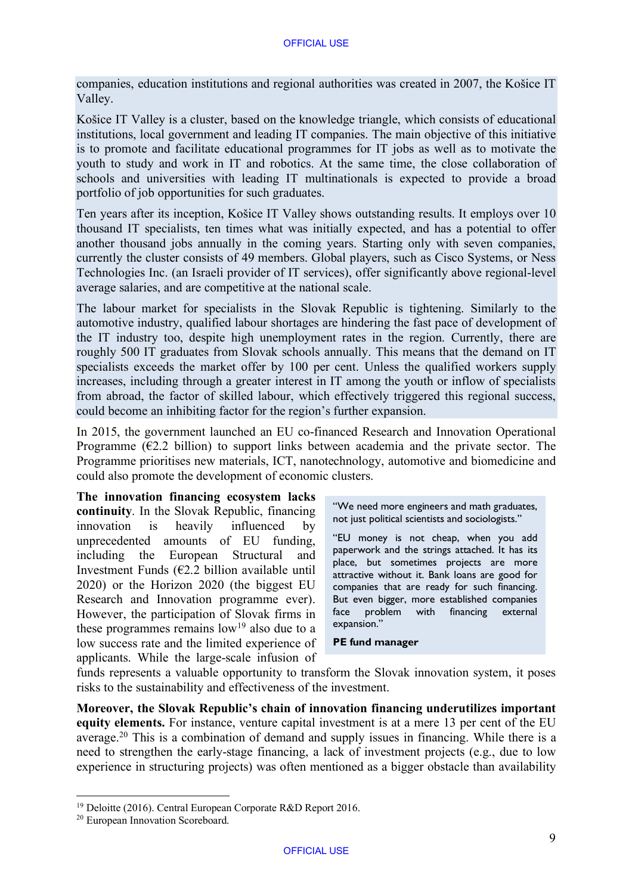companies, education institutions and regional authorities was created in 2007, the Košice IT Valley.

Košice IT Valley is a cluster, based on the knowledge triangle, which consists of educational institutions, local government and leading IT companies. The main objective of this initiative is to promote and facilitate educational programmes for IT jobs as well as to motivate the youth to study and work in IT and robotics. At the same time, the close collaboration of schools and universities with leading IT multinationals is expected to provide a broad portfolio of job opportunities for such graduates.

Ten years after its inception, Košice IT Valley shows outstanding results. It employs over 10 thousand IT specialists, ten times what was initially expected, and has a potential to offer another thousand jobs annually in the coming years. Starting only with seven companies, currently the cluster consists of 49 members. Global players, such as Cisco Systems, or Ness Technologies Inc. (an Israeli provider of IT services), offer significantly above regional-level average salaries, and are competitive at the national scale.

The labour market for specialists in the Slovak Republic is tightening. Similarly to the automotive industry, qualified labour shortages are hindering the fast pace of development of the IT industry too, despite high unemployment rates in the region. Currently, there are roughly 500 IT graduates from Slovak schools annually. This means that the demand on IT specialists exceeds the market offer by 100 per cent. Unless the qualified workers supply increases, including through a greater interest in IT among the youth or inflow of specialists from abroad, the factor of skilled labour, which effectively triggered this regional success, could become an inhibiting factor for the region's further expansion.

In 2015, the government launched an EU co-financed Research and Innovation Operational Programme ( $\epsilon$ 2.2 billion) to support links between academia and the private sector. The Programme prioritises new materials, ICT, nanotechnology, automotive and biomedicine and could also promote the development of economic clusters.

**The innovation financing ecosystem lacks continuity**. In the Slovak Republic, financing innovation is heavily influenced by unprecedented amounts of EU funding, including the European Structural and Investment Funds  $(E2.2)$  billion available until 2020) or the Horizon 2020 (the biggest EU Research and Innovation programme ever). However, the participation of Slovak firms in these programmes remains  $low<sup>19</sup>$  also due to a low success rate and the limited experience of applicants. While the large-scale infusion of

"We need more engineers and math graduates, not just political scientists and sociologists."

"EU money is not cheap, when you add paperwork and the strings attached. It has its place, but sometimes projects are more attractive without it. Bank loans are good for companies that are ready for such financing. But even bigger, more established companies face problem with financing external expansion."

#### **PE fund manager**

funds represents a valuable opportunity to transform the Slovak innovation system, it poses risks to the sustainability and effectiveness of the investment.

**Moreover, the Slovak Republic's chain of innovation financing underutilizes important equity elements.** For instance, venture capital investment is at a mere 13 per cent of the EU average.20 This is a combination of demand and supply issues in financing. While there is a need to strengthen the early-stage financing, a lack of investment projects (e.g., due to low experience in structuring projects) was often mentioned as a bigger obstacle than availability

<sup>19</sup> Deloitte (2016). Central European Corporate R&D Report 2016.

<sup>20</sup> European Innovation Scoreboard.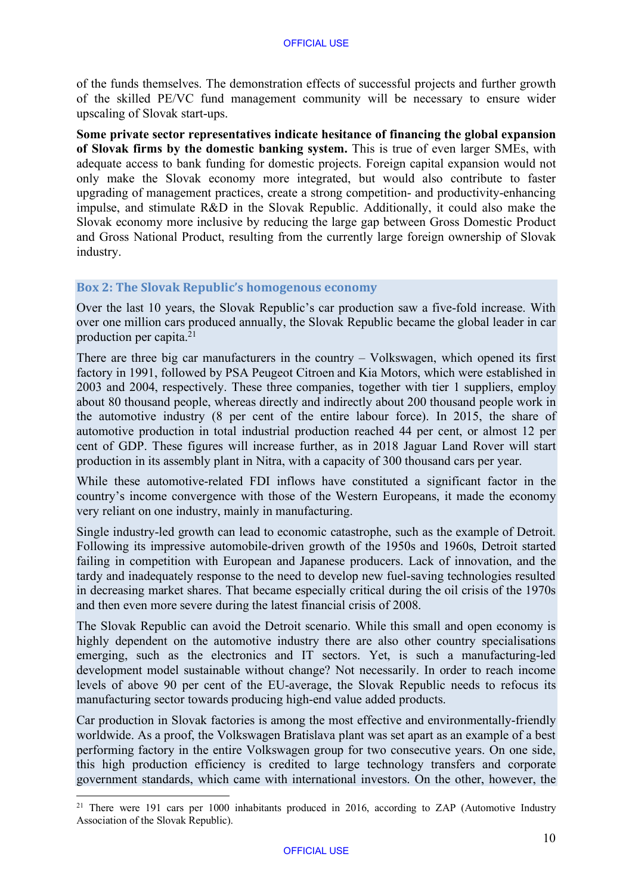of the funds themselves. The demonstration effects of successful projects and further growth of the skilled PE/VC fund management community will be necessary to ensure wider upscaling of Slovak start-ups.

**Some private sector representatives indicate hesitance of financing the global expansion of Slovak firms by the domestic banking system.** This is true of even larger SMEs, with adequate access to bank funding for domestic projects. Foreign capital expansion would not only make the Slovak economy more integrated, but would also contribute to faster upgrading of management practices, create a strong competition- and productivity-enhancing impulse, and stimulate R&D in the Slovak Republic. Additionally, it could also make the Slovak economy more inclusive by reducing the large gap between Gross Domestic Product and Gross National Product, resulting from the currently large foreign ownership of Slovak industry.

#### **Box 2: The Slovak Republic's homogenous economy**

Over the last 10 years, the Slovak Republic's car production saw a five-fold increase. With over one million cars produced annually, the Slovak Republic became the global leader in car production per capita. 21

There are three big car manufacturers in the country – Volkswagen, which opened its first factory in 1991, followed by PSA Peugeot Citroen and Kia Motors, which were established in 2003 and 2004, respectively. These three companies, together with tier 1 suppliers, employ about 80 thousand people, whereas directly and indirectly about 200 thousand people work in the automotive industry (8 per cent of the entire labour force). In 2015, the share of automotive production in total industrial production reached 44 per cent, or almost 12 per cent of GDP. These figures will increase further, as in 2018 Jaguar Land Rover will start production in its assembly plant in Nitra, with a capacity of 300 thousand cars per year.

While these automotive-related FDI inflows have constituted a significant factor in the country's income convergence with those of the Western Europeans, it made the economy very reliant on one industry, mainly in manufacturing.

Single industry-led growth can lead to economic catastrophe, such as the example of Detroit. Following its impressive automobile-driven growth of the 1950s and 1960s, Detroit started failing in competition with European and Japanese producers. Lack of innovation, and the tardy and inadequately response to the need to develop new fuel-saving technologies resulted in decreasing market shares. That became especially critical during the oil crisis of the 1970s and then even more severe during the latest financial crisis of 2008.

The Slovak Republic can avoid the Detroit scenario. While this small and open economy is highly dependent on the automotive industry there are also other country specialisations emerging, such as the electronics and IT sectors. Yet, is such a manufacturing-led development model sustainable without change? Not necessarily. In order to reach income levels of above 90 per cent of the EU-average, the Slovak Republic needs to refocus its manufacturing sector towards producing high-end value added products.

Car production in Slovak factories is among the most effective and environmentally-friendly worldwide. As a proof, the Volkswagen Bratislava plant was set apart as an example of a best performing factory in the entire Volkswagen group for two consecutive years. On one side, this high production efficiency is credited to large technology transfers and corporate government standards, which came with international investors. On the other, however, the

<sup>&</sup>lt;sup>21</sup> There were 191 cars per 1000 inhabitants produced in 2016, according to ZAP (Automotive Industry Association of the Slovak Republic).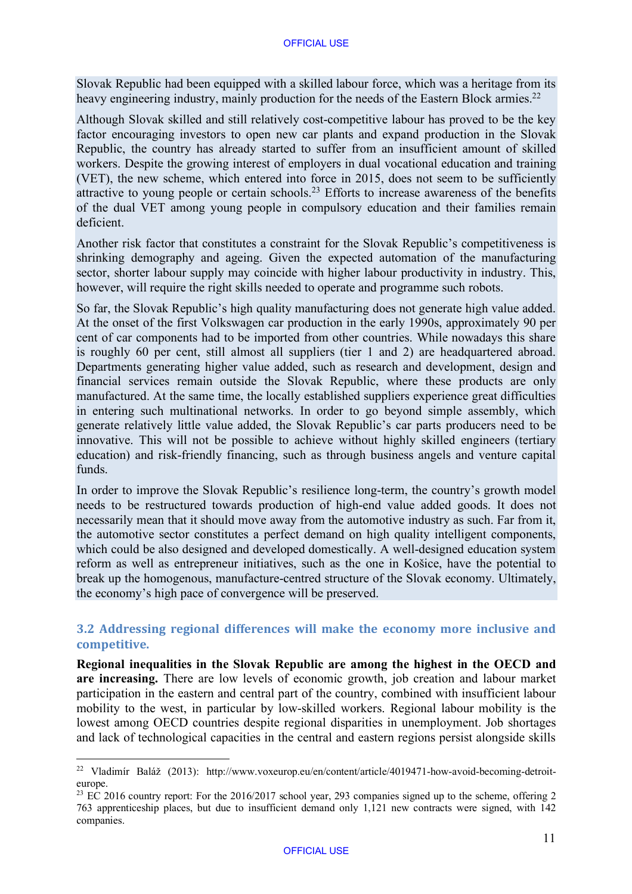Slovak Republic had been equipped with a skilled labour force, which was a heritage from its heavy engineering industry, mainly production for the needs of the Eastern Block armies.<sup>22</sup>

Although Slovak skilled and still relatively cost-competitive labour has proved to be the key factor encouraging investors to open new car plants and expand production in the Slovak Republic, the country has already started to suffer from an insufficient amount of skilled workers. Despite the growing interest of employers in dual vocational education and training (VET), the new scheme, which entered into force in 2015, does not seem to be sufficiently attractive to young people or certain schools.<sup>23</sup> Efforts to increase awareness of the benefits of the dual VET among young people in compulsory education and their families remain deficient.

Another risk factor that constitutes a constraint for the Slovak Republic's competitiveness is shrinking demography and ageing. Given the expected automation of the manufacturing sector, shorter labour supply may coincide with higher labour productivity in industry. This, however, will require the right skills needed to operate and programme such robots.

So far, the Slovak Republic's high quality manufacturing does not generate high value added. At the onset of the first Volkswagen car production in the early 1990s, approximately 90 per cent of car components had to be imported from other countries. While nowadays this share is roughly 60 per cent, still almost all suppliers (tier 1 and 2) are headquartered abroad. Departments generating higher value added, such as research and development, design and financial services remain outside the Slovak Republic, where these products are only manufactured. At the same time, the locally established suppliers experience great difficulties in entering such multinational networks. In order to go beyond simple assembly, which generate relatively little value added, the Slovak Republic's car parts producers need to be innovative. This will not be possible to achieve without highly skilled engineers (tertiary education) and risk-friendly financing, such as through business angels and venture capital funds.

In order to improve the Slovak Republic's resilience long-term, the country's growth model needs to be restructured towards production of high-end value added goods. It does not necessarily mean that it should move away from the automotive industry as such. Far from it, the automotive sector constitutes a perfect demand on high quality intelligent components, which could be also designed and developed domestically. A well-designed education system reform as well as entrepreneur initiatives, such as the one in Košice, have the potential to break up the homogenous, manufacture-centred structure of the Slovak economy. Ultimately, the economy's high pace of convergence will be preserved.

## **3.2 Addressing regional differences will make the economy more inclusive and competitive.**

**Regional inequalities in the Slovak Republic are among the highest in the OECD and are increasing.** There are low levels of economic growth, job creation and labour market participation in the eastern and central part of the country, combined with insufficient labour mobility to the west, in particular by low-skilled workers. Regional labour mobility is the lowest among OECD countries despite regional disparities in unemployment. Job shortages and lack of technological capacities in the central and eastern regions persist alongside skills

<sup>22</sup> Vladimír Baláž (2013): [http://www.voxeurop.eu/en/content/article/4019471-how-avoid-becoming-de](http://www.voxeurop.eu/en/content/article/4019471-how-avoid-becoming-detroit-europe.23)[troit](http://www.voxeurop.eu/en/content/article/4019471-how-avoid-becoming-detroit-europe)europe.

<sup>&</sup>lt;sup>23</sup> [EC](http://www.voxeurop.eu/en/content/article/4019471-how-avoid-becoming-detroit-europe.23) 2016 country report: For the 2016/2017 school year, 293 companies signed up to the scheme, offering 2 763 apprenticeship places, but due to insufficient demand only 1,121 new contracts were signed, with 142 companies.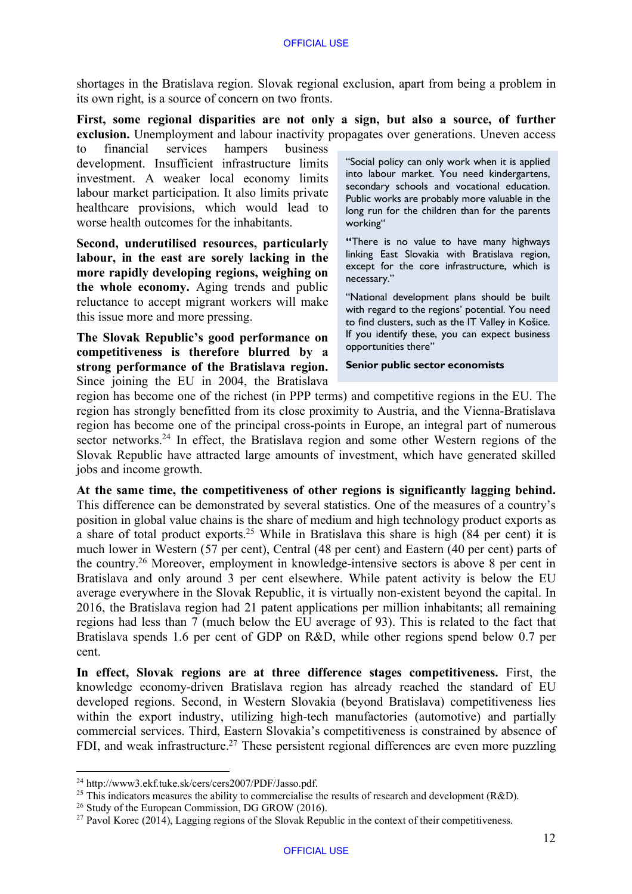shortages in the Bratislava region. Slovak regional exclusion, apart from being a problem in its own right, is a source of concern on two fronts.

**First, some regional disparities are not only a sign, but also a source, of further exclusion.** Unemployment and labour inactivity propagates over generations. Uneven access

to financial services hampers business development. Insufficient infrastructure limits investment. A weaker local economy limits labour market participation. It also limits private healthcare provisions, which would lead to worse health outcomes for the inhabitants.

**Second, underutilised resources, particularly labour, in the east are sorely lacking in the more rapidly developing regions, weighing on the whole economy.** Aging trends and public reluctance to accept migrant workers will make this issue more and more pressing.

**The Slovak Republic's good performance on competitiveness is therefore blurred by a strong performance of the Bratislava region.**  Since joining the EU in 2004, the Bratislava

"Social policy can only work when it is applied into labour market. You need kindergartens, secondary schools and vocational education. Public works are probably more valuable in the long run for the children than for the parents working"

**"**There is no value to have many highways linking East Slovakia with Bratislava region, except for the core infrastructure, which is necessary."

"National development plans should be built with regard to the regions' potential. You need to find clusters, such as the IT Valley in Košice. If you identify these, you can expect business opportunities there"

**Senior public sector economists**

region has become one of the richest (in PPP terms) and competitive regions in the EU. The region has strongly benefitted from its close proximity to Austria, and the Vienna-Bratislava region has become one of the principal cross-points in Europe, an integral part of numerous sector networks.<sup>24</sup> In effect, the Bratislava region and some other Western regions of the Slovak Republic have attracted large amounts of investment, which have generated skilled jobs and income growth.

**At the same time, the competitiveness of other regions is significantly lagging behind.**  This difference can be demonstrated by several statistics. One of the measures of a country's position in global value chains is the share of medium and high technology product exports as a share of total product exports.25 While in Bratislava this share is high (84 per cent) it is much lower in Western (57 per cent), Central (48 per cent) and Eastern (40 per cent) parts of the country. <sup>26</sup> Moreover, employment in knowledge-intensive sectors is above 8 per cent in Bratislava and only around 3 per cent elsewhere. While patent activity is below the EU average everywhere in the Slovak Republic, it is virtually non-existent beyond the capital. In 2016, the Bratislava region had 21 patent applications per million inhabitants; all remaining regions had less than 7 (much below the EU average of 93). This is related to the fact that Bratislava spends 1.6 per cent of GDP on R&D, while other regions spend below 0.7 per cent.

**In effect, Slovak regions are at three difference stages competitiveness.** First, the knowledge economy-driven Bratislava region has already reached the standard of EU developed regions. Second, in Western Slovakia (beyond Bratislava) competitiveness lies within the export industry, utilizing high-tech manufactories (automotive) and partially commercial services. Third, Eastern Slovakia's competitiveness is constrained by absence of FDI, and weak infrastructure.<sup>27</sup> These persistent regional differences are even more puzzling

<sup>24</sup> [http://www3.ekf.tuke.sk/cers/cers2007/PDF/Jasso.pdf.](http://www3.ekf.tuke.sk/cers/cers2007/PDF/Jasso.pdf)

<sup>&</sup>lt;sup>25</sup> This indicators measures the ability to commercialise the results of research and development (R&D).

<sup>&</sup>lt;sup>26</sup> Study of the European Commission, DG GROW (2016).

 $27$  Pavol Korec (2014), Lagging regions of the Slovak Republic in the context of their competitiveness.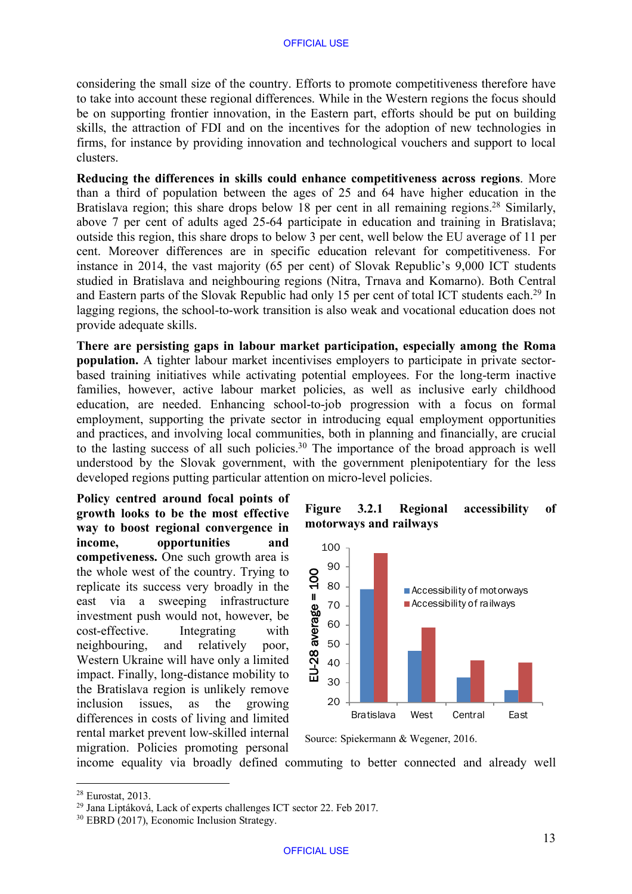considering the small size of the country. Efforts to promote competitiveness therefore have to take into account these regional differences. While in the Western regions the focus should be on supporting frontier innovation, in the Eastern part, efforts should be put on building skills, the attraction of FDI and on the incentives for the adoption of new technologies in firms, for instance by providing innovation and technological vouchers and support to local clusters.

**Reducing the differences in skills could enhance competitiveness across regions**. More than a third of population between the ages of 25 and 64 have higher education in the Bratislava region; this share drops below 18 per cent in all remaining regions.<sup>28</sup> Similarly, above 7 per cent of adults aged 25-64 participate in education and training in Bratislava; outside this region, this share drops to below 3 per cent, well below the EU average of 11 per cent. Moreover differences are in specific education relevant for competitiveness. For instance in 2014, the vast majority (65 per cent) of Slovak Republic's 9,000 ICT students studied in Bratislava and neighbouring regions (Nitra, Trnava and Komarno). Both Central and Eastern parts of the Slovak Republic had only 15 per cent of total ICT students each.<sup>29</sup> In lagging regions, the school-to-work transition is also weak and vocational education does not provide adequate skills.

**There are persisting gaps in labour market participation, especially among the Roma population.** A tighter labour market incentivises employers to participate in private sectorbased training initiatives while activating potential employees. For the long-term inactive families, however, active labour market policies, as well as inclusive early childhood education, are needed. Enhancing school-to-job progression with a focus on formal employment, supporting the private sector in introducing equal employment opportunities and practices, and involving local communities, both in planning and financially, are crucial to the lasting success of all such policies. <sup>30</sup> The importance of the broad approach is well understood by the Slovak government, with the government plenipotentiary for the less developed regions putting particular attention on micro-level policies.

**Policy centred around focal points of growth looks to be the most effective way to boost regional convergence in income, opportunities and competiveness.** One such growth area is the whole west of the country. Trying to replicate its success very broadly in the east via a sweeping infrastructure investment push would not, however, be cost-effective. Integrating with neighbouring, and relatively poor, Western Ukraine will have only a limited impact. Finally, long-distance mobility to the Bratislava region is unlikely remove inclusion issues, as the growing differences in costs of living and limited rental market prevent low-skilled internal migration. Policies promoting personal





Source: Spiekermann & Wegener, 2016.

income equality via broadly defined commuting to better connected and already well

 <sup>28</sup> Eurostat, 2013.

<sup>29</sup> Jana Liptáková, Lack of experts challenges ICT sector 22. Feb 2017.

<sup>30</sup> EBRD (2017), Economic Inclusion Strategy.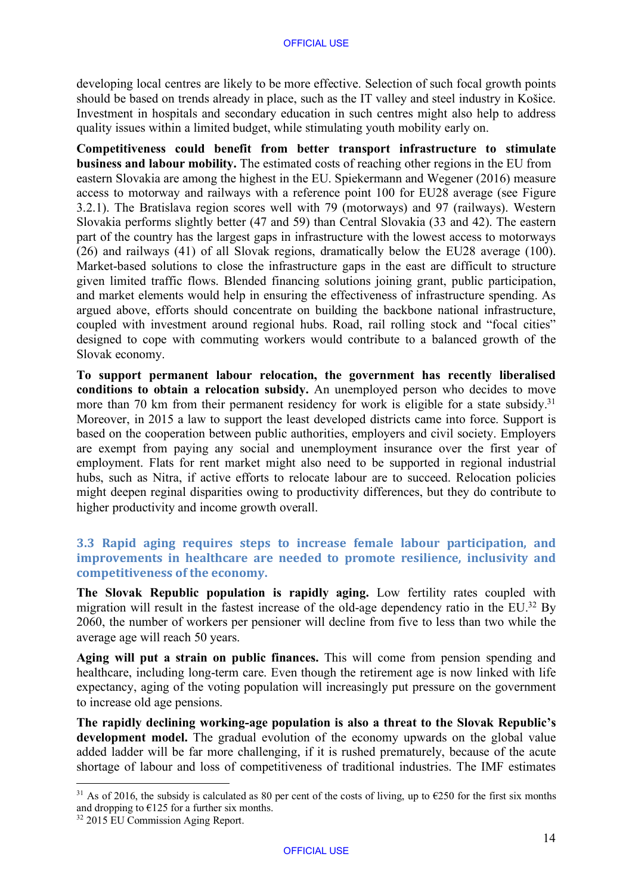#### OFFICIAL USE

developing local centres are likely to be more effective. Selection of such focal growth points should be based on trends already in place, such as the IT valley and steel industry in Košice. Investment in hospitals and secondary education in such centres might also help to address quality issues within a limited budget, while stimulating youth mobility early on.

**Competitiveness could benefit from better transport infrastructure to stimulate business and labour mobility.** The estimated costs of reaching other regions in the EU from eastern Slovakia are among the highest in the EU. Spiekermann and Wegener (2016) measure access to motorway and railways with a reference point 100 for EU28 average (see Figure 3.2.1). The Bratislava region scores well with 79 (motorways) and 97 (railways). Western Slovakia performs slightly better (47 and 59) than Central Slovakia (33 and 42). The eastern part of the country has the largest gaps in infrastructure with the lowest access to motorways (26) and railways (41) of all Slovak regions, dramatically below the EU28 average (100). Market-based solutions to close the infrastructure gaps in the east are difficult to structure given limited traffic flows. Blended financing solutions joining grant, public participation, and market elements would help in ensuring the effectiveness of infrastructure spending. As argued above, efforts should concentrate on building the backbone national infrastructure, coupled with investment around regional hubs. Road, rail rolling stock and "focal cities" designed to cope with commuting workers would contribute to a balanced growth of the Slovak economy.

**To support permanent labour relocation, the government has recently liberalised conditions to obtain a relocation subsidy.** An unemployed person who decides to move more than 70 km from their permanent residency for work is eligible for a state subsidy.<sup>31</sup> Moreover, in 2015 a law to support the least developed districts came into force. Support is based on the cooperation between public authorities, employers and civil society. Employers are exempt from paying any social and unemployment insurance over the first year of employment. Flats for rent market might also need to be supported in regional industrial hubs, such as Nitra, if active efforts to relocate labour are to succeed. Relocation policies might deepen reginal disparities owing to productivity differences, but they do contribute to higher productivity and income growth overall.

#### **3.3** Rapid aging requires steps to increase female labour participation, and **improvements** in healthcare are needed to promote resilience, inclusivity and competitiveness of the economy.

**The Slovak Republic population is rapidly aging.** Low fertility rates coupled with migration will result in the fastest increase of the old-age dependency ratio in the EU.<sup>32</sup> By 2060, the number of workers per pensioner will decline from five to less than two while the average age will reach 50 years.

**Aging will put a strain on public finances.** This will come from pension spending and healthcare, including long-term care. Even though the retirement age is now linked with life expectancy, aging of the voting population will increasingly put pressure on the government to increase old age pensions.

**The rapidly declining working-age population is also a threat to the Slovak Republic's**  development model. The gradual evolution of the economy upwards on the global value added ladder will be far more challenging, if it is rushed prematurely, because of the acute shortage of labour and loss of competitiveness of traditional industries. The IMF estimates

<sup>&</sup>lt;sup>31</sup> As of 2016, the subsidy is calculated as 80 per cent of the costs of living, up to  $\epsilon$ 250 for the first six months and dropping to  $E125$  for a further six months.

<sup>32</sup> 2015 EU Commission Aging Report.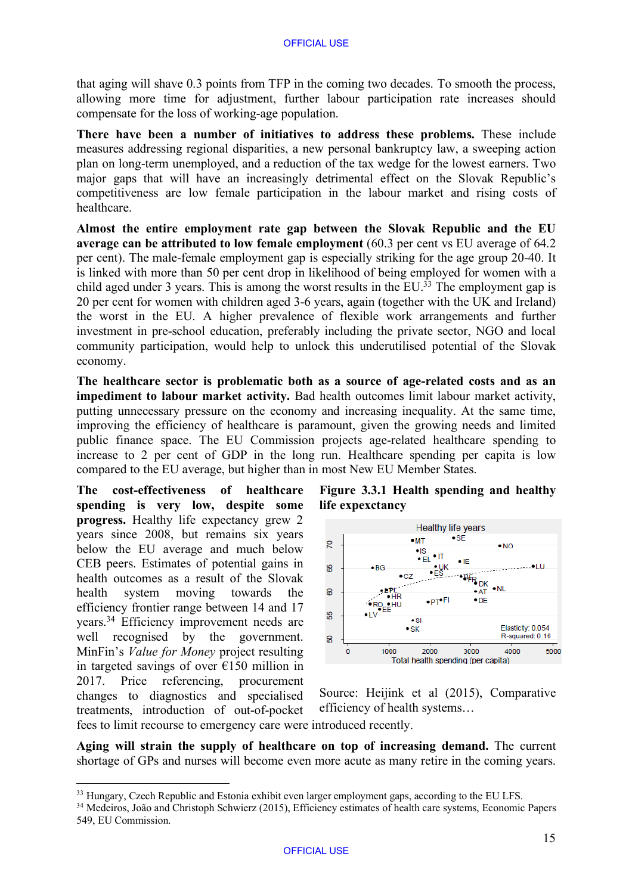that aging will shave 0.3 points from TFP in the coming two decades. To smooth the process, allowing more time for adjustment, further labour participation rate increases should compensate for the loss of working-age population.

**There have been a number of initiatives to address these problems.** These include measures addressing regional disparities, a new personal bankruptcy law, a sweeping action plan on long-term unemployed, and a reduction of the tax wedge for the lowest earners. Two major gaps that will have an increasingly detrimental effect on the Slovak Republic's competitiveness are low female participation in the labour market and rising costs of healthcare.

**Almost the entire employment rate gap between the Slovak Republic and the EU average can be attributed to low female employment** (60.3 per cent vs EU average of 64.2 per cent). The male-female employment gap is especially striking for the age group 20-40. It is linked with more than 50 per cent drop in likelihood of being employed for women with a child aged under 3 years. This is among the worst results in the EU.<sup>33</sup> The employment gap is 20 per cent for women with children aged 3-6 years, again (together with the UK and Ireland) the worst in the EU. A higher prevalence of flexible work arrangements and further investment in pre-school education, preferably including the private sector, NGO and local community participation, would help to unlock this underutilised potential of the Slovak economy.

**The healthcare sector is problematic both as a source of age-related costs and as an impediment to labour market activity.** Bad health outcomes limit labour market activity, putting unnecessary pressure on the economy and increasing inequality. At the same time, improving the efficiency of healthcare is paramount, given the growing needs and limited public finance space. The EU Commission projects age-related healthcare spending to increase to 2 per cent of GDP in the long run. Healthcare spending per capita is low compared to the EU average, but higher than in most New EU Member States.

**The cost-effectiveness of healthcare spending is very low, despite some progress.** Healthy life expectancy grew 2 years since 2008, but remains six years below the EU average and much below CEB peers. Estimates of potential gains in health outcomes as a result of the Slovak health system moving towards the efficiency frontier range between 14 and 17 years.<sup>34</sup> Efficiency improvement needs are well recognised by the government. MinFin's *Value for Money* project resulting in targeted savings of over €150 million in 2017. Price referencing, procurement changes to diagnostics and specialised treatments, introduction of out-of-pocket

# **Figure 3.3.1 Health spending and healthy life expexctancy**



Source: Heijink et al (2015), Comparative efficiency of health systems…

fees to limit recourse to emergency care were introduced recently.

**Aging will strain the supply of healthcare on top of increasing demand.** The current shortage of GPs and nurses will become even more acute as many retire in the coming years.

<sup>&</sup>lt;sup>33</sup> Hungary, Czech Republic and Estonia exhibit even larger employment gaps, according to the EU LFS.

<sup>&</sup>lt;sup>34</sup> Medeiros, João and Christoph Schwierz (2015), Efficiency estimates of health care systems, Economic Papers 549, EU Commission.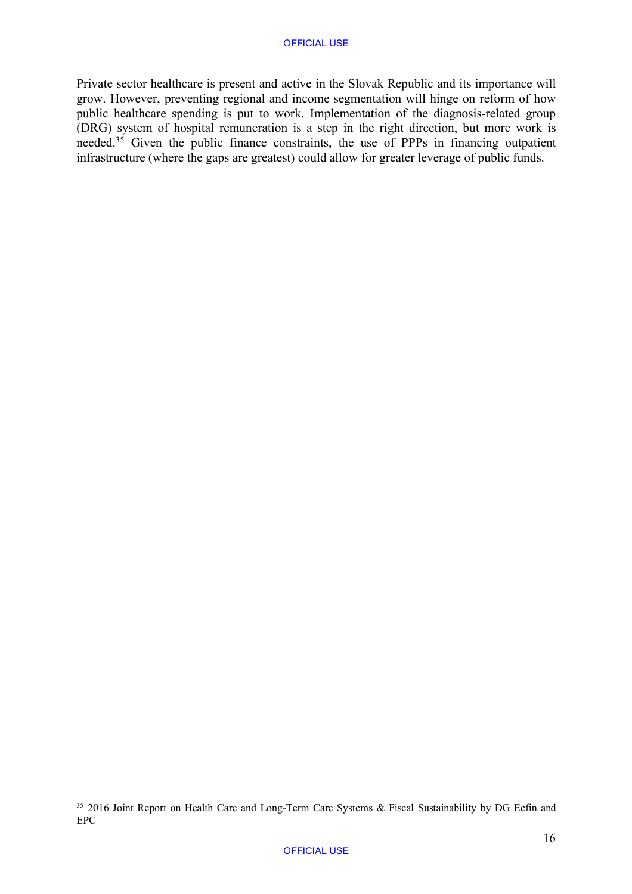Private sector healthcare is present and active in the Slovak Republic and its importance will grow. However, preventing regional and income segmentation will hinge on reform of how public healthcare spending is put to work. Implementation of the diagnosis-related group (DRG) system of hospital remuneration is a step in the right direction, but more work is needed.<sup>35</sup> Given the public finance constraints, the use of PPPs in financing outpatient infrastructure (where the gaps are greatest) could allow for greater leverage of public funds.

<sup>&</sup>lt;sup>35</sup> 2016 Joint Report on Health Care and Long-Term Care Systems & Fiscal Sustainability by DG Ecfin and EPC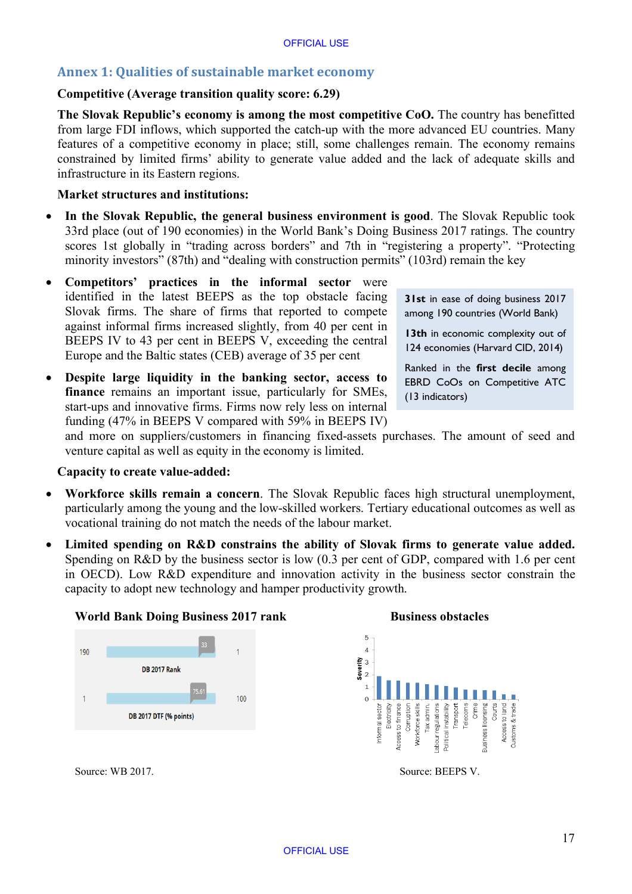# **Annex 1: Qualities of sustainable market economy**

#### **Competitive (Average transition quality score: 6.29)**

**The Slovak Republic's economy is among the most competitive CoO.** The country has benefitted from large FDI inflows, which supported the catch-up with the more advanced EU countries. Many features of a competitive economy in place; still, some challenges remain. The economy remains constrained by limited firms' ability to generate value added and the lack of adequate skills and infrastructure in its Eastern regions.

#### **Market structures and institutions:**

- **In the Slovak Republic, the general business environment is good**. The Slovak Republic took 33rd place (out of 190 economies) in the World Bank's Doing Business 2017 ratings. The country scores 1st globally in "trading across borders" and 7th in "registering a property". "Protecting minority investors" (87th) and "dealing with construction permits" (103rd) remain the key
- **Competitors' practices in the informal sector** were identified in the latest BEEPS as the top obstacle facing Slovak firms. The share of firms that reported to compete against informal firms increased slightly, from 40 per cent in BEEPS IV to 43 per cent in BEEPS V, exceeding the central Europe and the Baltic states (CEB) average of 35 per cent
- **Despite large liquidity in the banking sector, access to finance** remains an important issue, particularly for SMEs, start-ups and innovative firms. Firms now rely less on internal funding (47% in BEEPS V compared with 59% in BEEPS IV)

**31st** in ease of doing business 2017 among 190 countries (World Bank)

**13th** in economic complexity out of 124 economies (Harvard CID, 2014)

Ranked in the **first decile** among EBRD CoOs on Competitive ATC (13 indicators)

and more on suppliers/customers in financing fixed-assets purchases. The amount of seed and venture capital as well as equity in the economy is limited.

#### **Capacity to create value-added:**

- **Workforce skills remain a concern**. The Slovak Republic faces high structural unemployment, particularly among the young and the low-skilled workers. Tertiary educational outcomes as well as vocational training do not match the needs of the labour market.
- **Limited spending on R&D constrains the ability of Slovak firms to generate value added.** Spending on R&D by the business sector is low (0.3 per cent of GDP, compared with 1.6 per cent in OECD). Low R&D expenditure and innovation activity in the business sector constrain the capacity to adopt new technology and hamper productivity growth.





Source: WB 2017. Source: BEEPS V.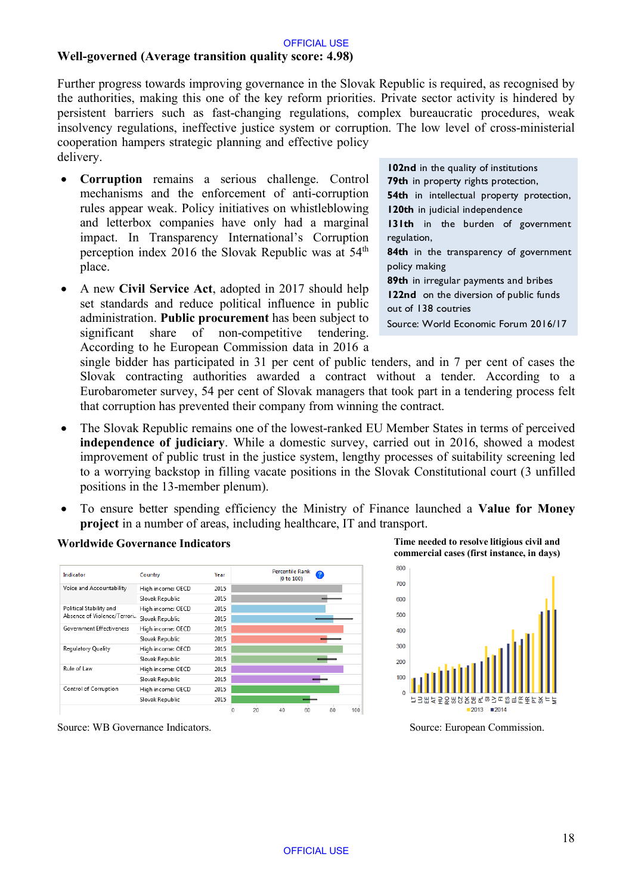# **Well-governed (Average transition quality score: 4.98)**

Further progress towards improving governance in the Slovak Republic is required, as recognised by the authorities, making this one of the key reform priorities. Private sector activity is hindered by persistent barriers such as fast-changing regulations, complex bureaucratic procedures, weak insolvency regulations, ineffective justice system or corruption. The low level of cross-ministerial cooperation hampers strategic planning and effective policy delivery.

- **Corruption** remains a serious challenge. Control mechanisms and the enforcement of anti-corruption rules appear weak. Policy initiatives on whistleblowing and letterbox companies have only had a marginal impact. In Transparency International's Corruption perception index 2016 the Slovak Republic was at 54th place.
- A new **Civil Service Act**, adopted in 2017 should help set standards and reduce political influence in public administration. **Public procurement** has been subject to significant share of non-competitive tendering. According to he European Commission data in 2016 a

**102nd** in the quality of institutions **79th** in property rights protection, **54th** in intellectual property protection, **120th** in judicial independence **131th** in the burden of government regulation, **84th** in the transparency of government policy making **89th** in irregular payments and bribes **122nd** on the diversion of public funds out of 138 coutries Source: World Economic Forum 2016/17

single bidder has participated in 31 per cent of public tenders, and in 7 per cent of cases the Slovak contracting authorities awarded a contract without a tender. According to a Eurobarometer survey, 54 per cent of Slovak managers that took part in a tendering process felt that corruption has prevented their company from winning the contract.

- The Slovak Republic remains one of the lowest-ranked EU Member States in terms of perceived **independence of judiciary**. While a domestic survey, carried out in 2016, showed a modest improvement of public trust in the justice system, lengthy processes of suitability screening led to a worrying backstop in filling vacate positions in the Slovak Constitutional court (3 unfilled positions in the 13-member plenum).
- To ensure better spending efficiency the Ministry of Finance launched a **Value for Money project** in a number of areas, including healthcare, IT and transport.

### **Worldwide Governance Indicators Time needed to resolve litigious civil and**



**commercial cases (first instance, in days)**



Source: WB Governance Indicators. Source: European Commission.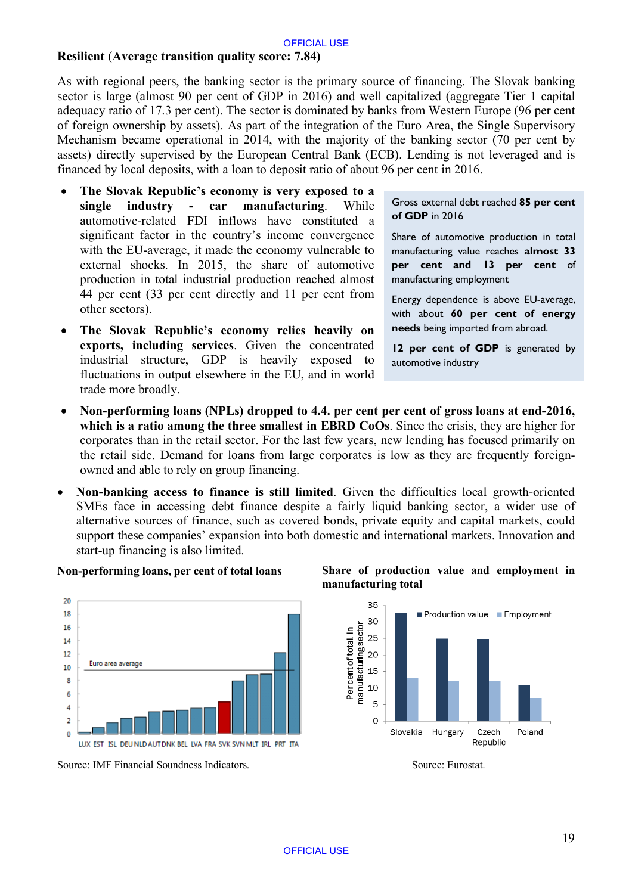#### **Resilient** (**Average transition quality score: 7.84)**

As with regional peers, the banking sector is the primary source of financing. The Slovak banking sector is large (almost 90 per cent of GDP in 2016) and well capitalized (aggregate Tier 1 capital adequacy ratio of 17.3 per cent). The sector is dominated by banks from Western Europe (96 per cent of foreign ownership by assets). As part of the integration of the Euro Area, the Single Supervisory Mechanism became operational in 2014, with the majority of the banking sector (70 per cent by assets) directly supervised by the European Central Bank (ECB). Lending is not leveraged and is financed by local deposits, with a loan to deposit ratio of about 96 per cent in 2016.

- **The Slovak Republic's economy is very exposed to a single industry - car manufacturing**. While automotive-related FDI inflows have constituted a significant factor in the country's income convergence with the EU-average, it made the economy vulnerable to external shocks. In 2015, the share of automotive production in total industrial production reached almost 44 per cent (33 per cent directly and 11 per cent from other sectors).
- **The Slovak Republic's economy relies heavily on exports, including services**. Given the concentrated industrial structure, GDP is heavily exposed to fluctuations in output elsewhere in the EU, and in world trade more broadly.

Gross external debt reached **85 per cent of GDP** in 2016

Share of automotive production in total manufacturing value reaches **almost 33 per cent and 13 per cent** of manufacturing employment

Energy dependence is above EU-average, with about **60 per cent of energy needs** being imported from abroad.

12 per cent of GDP is generated by automotive industry

- **Non-performing loans (NPLs) dropped to 4.4. per cent per cent of gross loans at end-2016, which is a ratio among the three smallest in EBRD CoOs**. Since the crisis, they are higher for corporates than in the retail sector. For the last few years, new lending has focused primarily on the retail side. Demand for loans from large corporates is low as they are frequently foreignowned and able to rely on group financing.
- **Non-banking access to finance is still limited**. Given the difficulties local growth-oriented SMEs face in accessing debt finance despite a fairly liquid banking sector, a wider use of alternative sources of finance, such as covered bonds, private equity and capital markets, could support these companies' expansion into both domestic and international markets. Innovation and start-up financing is also limited.



Source: IMF Financial Soundness Indicators. Source: Eurostat. Source: Eurostat.



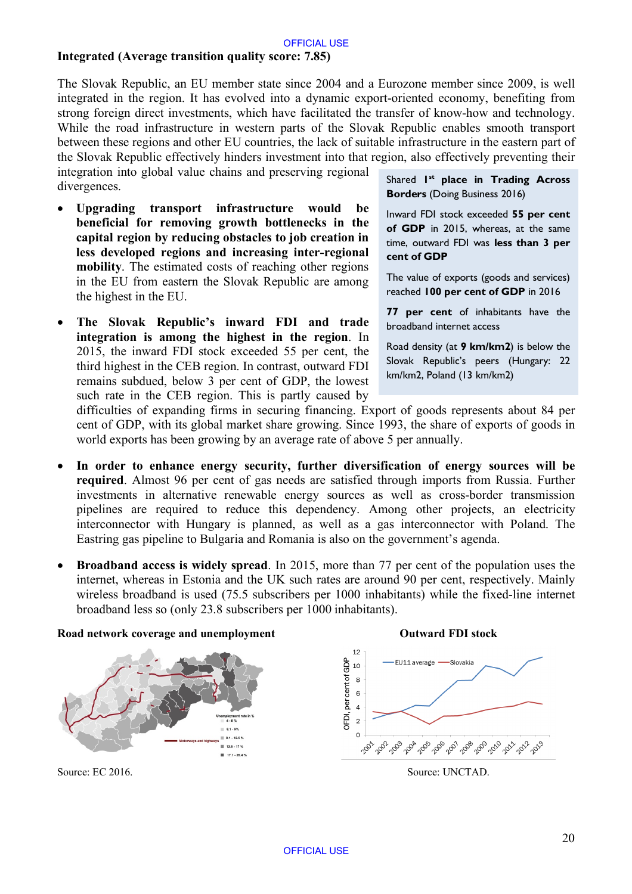# **Integrated (Average transition quality score: 7.85)**

The Slovak Republic, an EU member state since 2004 and a Eurozone member since 2009, is well integrated in the region. It has evolved into a dynamic export-oriented economy, benefiting from strong foreign direct investments, which have facilitated the transfer of know-how and technology. While the road infrastructure in western parts of the Slovak Republic enables smooth transport between these regions and other EU countries, the lack of suitable infrastructure in the eastern part of the Slovak Republic effectively hinders investment into that region, also effectively preventing their

integration into global value chains and preserving regional divergences.

- **Upgrading transport infrastructure would be beneficial for removing growth bottlenecks in the capital region by reducing obstacles to job creation in less developed regions and increasing inter-regional mobility**. The estimated costs of reaching other regions in the EU from eastern the Slovak Republic are among the highest in the EU.
- **The Slovak Republic's inward FDI and trade integration is among the highest in the region**. In 2015, the inward FDI stock exceeded 55 per cent, the third highest in the CEB region. In contrast, outward FDI remains subdued, below 3 per cent of GDP, the lowest such rate in the CEB region. This is partly caused by

Shared **1st place in Trading Across Borders** (Doing Business 2016)

Inward FDI stock exceeded **55 per cent of GDP** in 2015, whereas, at the same time, outward FDI was **less than 3 per cent of GDP**

The value of exports (goods and services) reached **100 per cent of GDP** in 2016

**77 per cent** of inhabitants have the broadband internet access

Road density (at **9 km/km2**) is below the Slovak Republic's peers (Hungary: 22 km/km2, Poland (13 km/km2)

difficulties of expanding firms in securing financing. Export of goods represents about 84 per cent of GDP, with its global market share growing. Since 1993, the share of exports of goods in world exports has been growing by an average rate of above 5 per annually.

- **In order to enhance energy security, further diversification of energy sources will be required**. Almost 96 per cent of gas needs are satisfied through imports from Russia. Further investments in alternative renewable energy sources as well as cross-border transmission pipelines are required to reduce this dependency. Among other projects, an electricity interconnector with Hungary is planned, as well as a gas interconnector with Poland. The Eastring gas pipeline to Bulgaria and Romania is also on the government's agenda.
- **Broadband access is widely spread**. In 2015, more than 77 per cent of the population uses the internet, whereas in Estonia and the UK such rates are around 90 per cent, respectively. Mainly wireless broadband is used (75.5 subscribers per 1000 inhabitants) while the fixed-line internet broadband less so (only 23.8 subscribers per 1000 inhabitants).

#### **Road network coverage and unemployment Outward FDI stock**





Source: EC 2016. Source: UNCTAD.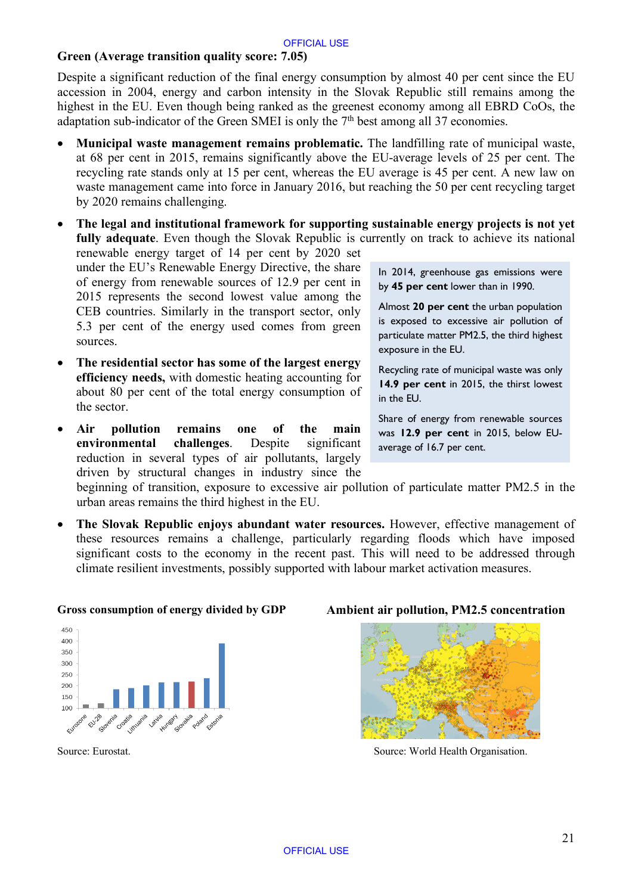## **Green (Average transition quality score: 7.05)**

Despite a significant reduction of the final energy consumption by almost 40 per cent since the EU accession in 2004, energy and carbon intensity in the Slovak Republic still remains among the highest in the EU. Even though being ranked as the greenest economy among all EBRD CoOs, the adaptation sub-indicator of the Green SMEI is only the  $7<sup>th</sup>$  best among all 37 economies.

- **Municipal waste management remains problematic.** The landfilling rate of municipal waste, at 68 per cent in 2015, remains significantly above the EU-average levels of 25 per cent. The recycling rate stands only at 15 per cent, whereas the EU average is 45 per cent. A new law on waste management came into force in January 2016, but reaching the 50 per cent recycling target by 2020 remains challenging.
- **The legal and institutional framework for supporting sustainable energy projects is not yet fully adequate**. Even though the Slovak Republic is currently on track to achieve its national renewable energy target of 14 per cent by 2020 set under the EU's Renewable Energy Directive, the share of energy from renewable sources of 12.9 per cent in 2015 represents the second lowest value among the CEB countries. Similarly in the transport sector, only 5.3 per cent of the energy used comes from green sources. In 2014, greenhouse gas emissions were by **45 per cent** lower than in 1990. Almost **20 per cent** the urban population is exposed to excessive air pollution of particulate matter PM2.5, the third highest
- **The residential sector has some of the largest energy efficiency needs,** with domestic heating accounting for about 80 per cent of the total energy consumption of the sector.
- **Air pollution remains one of the main environmental challenges**. Despite significant reduction in several types of air pollutants, largely driven by structural changes in industry since the

exposure in the EU.

Recycling rate of municipal waste was only **14.9 per cent** in 2015, the thirst lowest in the EU.

Share of energy from renewable sources was **12.9 per cent** in 2015, below EUaverage of 16.7 per cent.

beginning of transition, exposure to excessive air pollution of particulate matter PM2.5 in the urban areas remains the third highest in the EU.

• **The Slovak Republic enjoys abundant water resources.** However, effective management of these resources remains a challenge, particularly regarding floods which have imposed significant costs to the economy in the recent past. This will need to be addressed through climate resilient investments, possibly supported with labour market activation measures.



#### **Gross consumption of energy divided by GDP Ambient air pollution, PM2.5 concentration**



Source: Eurostat. Source: World Health Organisation.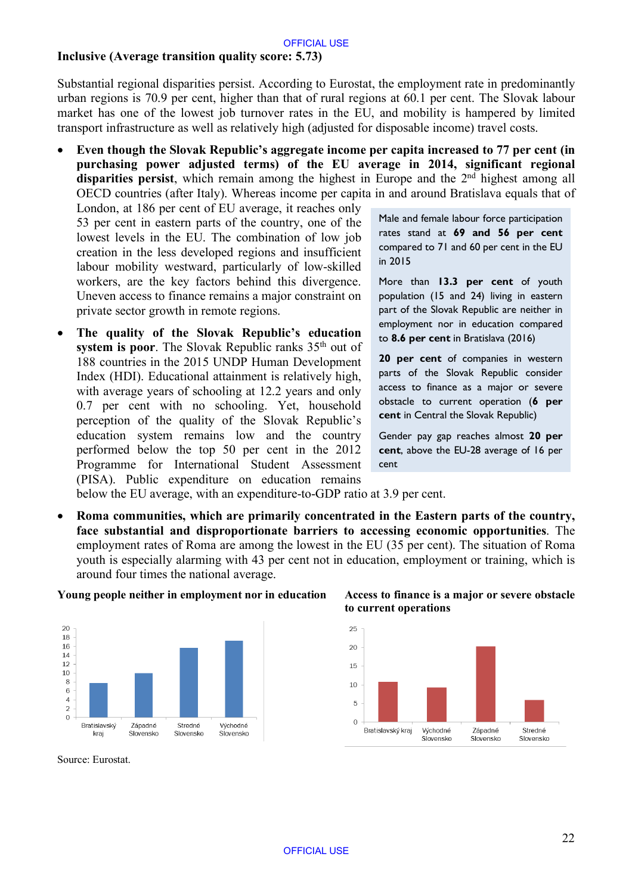#### **Inclusive (Average transition quality score: 5.73)**

Substantial regional disparities persist. According to Eurostat, the employment rate in predominantly urban regions is 70.9 per cent, higher than that of rural regions at 60.1 per cent. The Slovak labour market has one of the lowest job turnover rates in the EU, and mobility is hampered by limited transport infrastructure as well as relatively high (adjusted for disposable income) travel costs.

• **Even though the Slovak Republic's aggregate income per capita increased to 77 per cent (in purchasing power adjusted terms) of the EU average in 2014, significant regional** disparities persist, which remain among the highest in Europe and the 2<sup>nd</sup> highest among all OECD countries (after Italy). Whereas income per capita in and around Bratislava equals that of

London, at 186 per cent of EU average, it reaches only 53 per cent in eastern parts of the country, one of the lowest levels in the EU. The combination of low job creation in the less developed regions and insufficient labour mobility westward, particularly of low-skilled workers, are the key factors behind this divergence. Uneven access to finance remains a major constraint on private sector growth in remote regions.

• **The quality of the Slovak Republic's education system is poor**. The Slovak Republic ranks 35<sup>th</sup> out of 188 countries in the 2015 UNDP Human Development Index (HDI). Educational attainment is relatively high, with average years of schooling at 12.2 years and only 0.7 per cent with no schooling. Yet, household perception of the quality of the Slovak Republic's education system remains low and the country performed below the top 50 per cent in the 2012 Programme for International Student Assessment (PISA). Public expenditure on education remains

Male and female labour force participation rates stand at **69 and 56 per cent** compared to 71 and 60 per cent in the EU in 2015

More than **13.3 per cent** of youth population (15 and 24) living in eastern part of the Slovak Republic are neither in employment nor in education compared to **8.6 per cent** in Bratislava (2016)

**20 per cent** of companies in western parts of the Slovak Republic consider access to finance as a major or severe obstacle to current operation (**6 per cent** in Central the Slovak Republic)

Gender pay gap reaches almost **20 per cent**, above the EU-28 average of 16 per cent

below the EU average, with an expenditure-to-GDP ratio at 3.9 per cent.

• **Roma communities, which are primarily concentrated in the Eastern parts of the country, face substantial and disproportionate barriers to accessing economic opportunities**. The employment rates of Roma are among the lowest in the EU (35 per cent). The situation of Roma youth is especially alarming with 43 per cent not in education, employment or training, which is around four times the national average.



#### **Young people neither in employment nor in education Access to finance is a major or severe obstacle**

**to current operations**



Source: Eurostat.